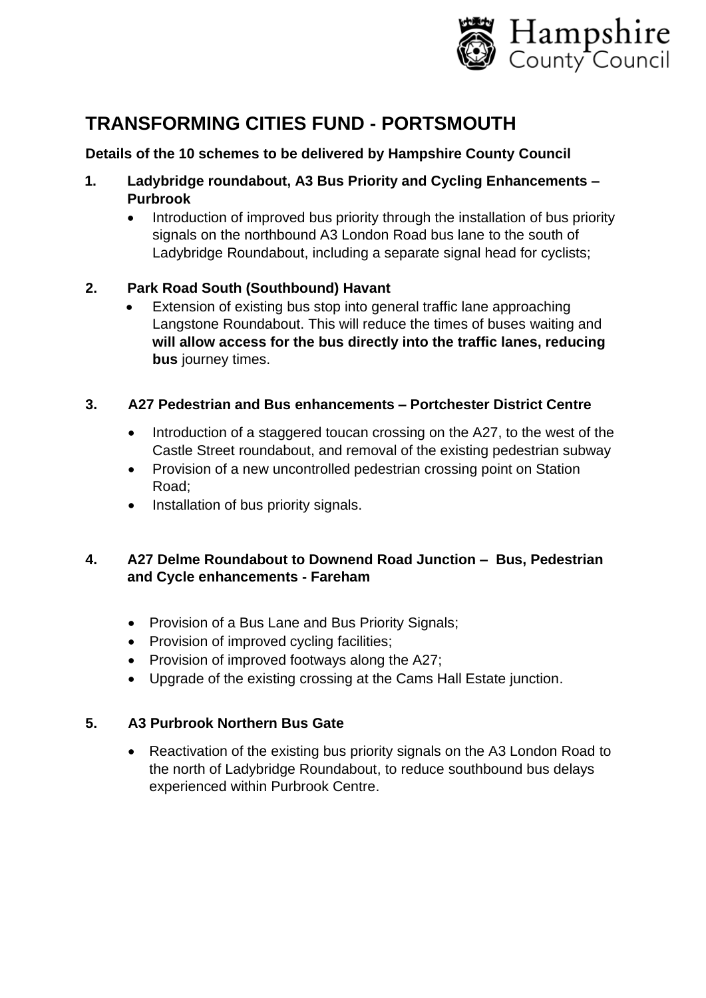

# **TRANSFORMING CITIES FUND - PORTSMOUTH**

# **Details of the 10 schemes to be delivered by Hampshire County Council**

- **1. Ladybridge roundabout, A3 Bus Priority and Cycling Enhancements – Purbrook**
	- Introduction of improved bus priority through the installation of bus priority signals on the northbound A3 London Road bus lane to the south of Ladybridge Roundabout, including a separate signal head for cyclists;

# **2. Park Road South (Southbound) Havant**

Extension of existing bus stop into general traffic lane approaching Langstone Roundabout. This will reduce the times of buses waiting and **will allow access for the bus directly into the traffic lanes, reducing bus** journey times.

#### **3. A27 Pedestrian and Bus enhancements – Portchester District Centre**

- Introduction of a staggered toucan crossing on the A27, to the west of the Castle Street roundabout, and removal of the existing pedestrian subway
- Provision of a new uncontrolled pedestrian crossing point on Station Road;
- Installation of bus priority signals.

## **4. A27 Delme Roundabout to Downend Road Junction – Bus, Pedestrian and Cycle enhancements - Fareham**

- Provision of a Bus Lane and Bus Priority Signals;
- Provision of improved cycling facilities:
- Provision of improved footways along the A27;
- Upgrade of the existing crossing at the Cams Hall Estate junction.

## **5. A3 Purbrook Northern Bus Gate**

• Reactivation of the existing bus priority signals on the A3 London Road to the north of Ladybridge Roundabout, to reduce southbound bus delays experienced within Purbrook Centre.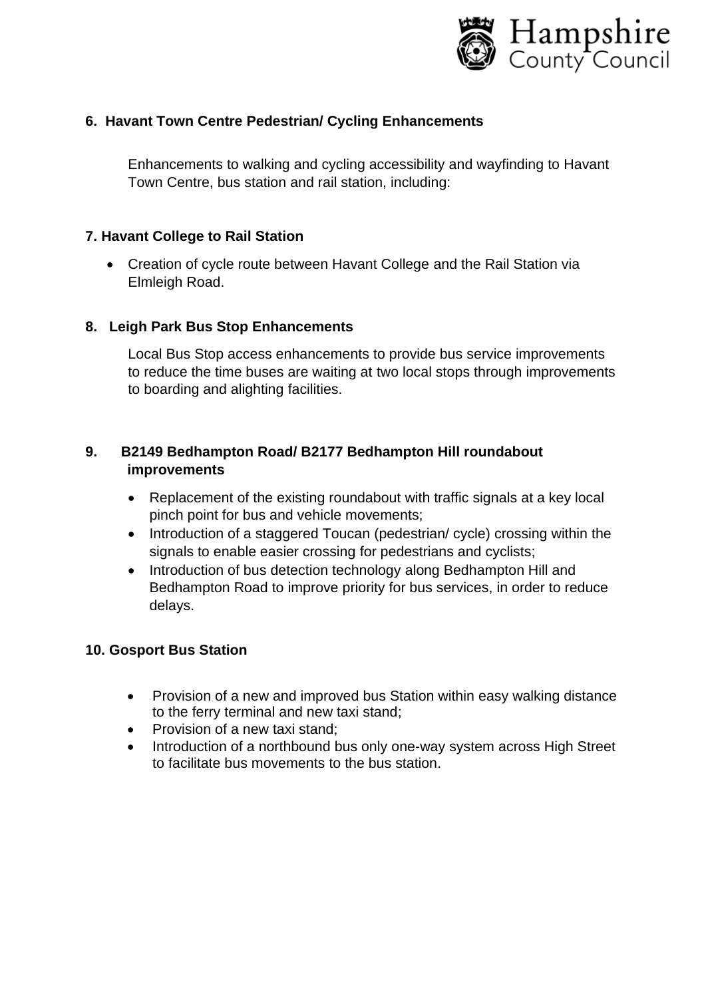

#### **6. Havant Town Centre Pedestrian/ Cycling Enhancements**

Enhancements to walking and cycling accessibility and wayfinding to Havant Town Centre, bus station and rail station, including:

#### **7. Havant College to Rail Station**

• Creation of cycle route between Havant College and the Rail Station via Elmleigh Road.

#### **8. Leigh Park Bus Stop Enhancements**

Local Bus Stop access enhancements to provide bus service improvements to reduce the time buses are waiting at two local stops through improvements to boarding and alighting facilities.

## **9. B2149 Bedhampton Road/ B2177 Bedhampton Hill roundabout improvements**

- Replacement of the existing roundabout with traffic signals at a key local pinch point for bus and vehicle movements;
- Introduction of a staggered Toucan (pedestrian/ cycle) crossing within the signals to enable easier crossing for pedestrians and cyclists;
- Introduction of bus detection technology along Bedhampton Hill and Bedhampton Road to improve priority for bus services, in order to reduce delays.

#### **10. Gosport Bus Station**

- Provision of a new and improved bus Station within easy walking distance to the ferry terminal and new taxi stand;
- Provision of a new taxi stand;
- Introduction of a northbound bus only one-way system across High Street to facilitate bus movements to the bus station.